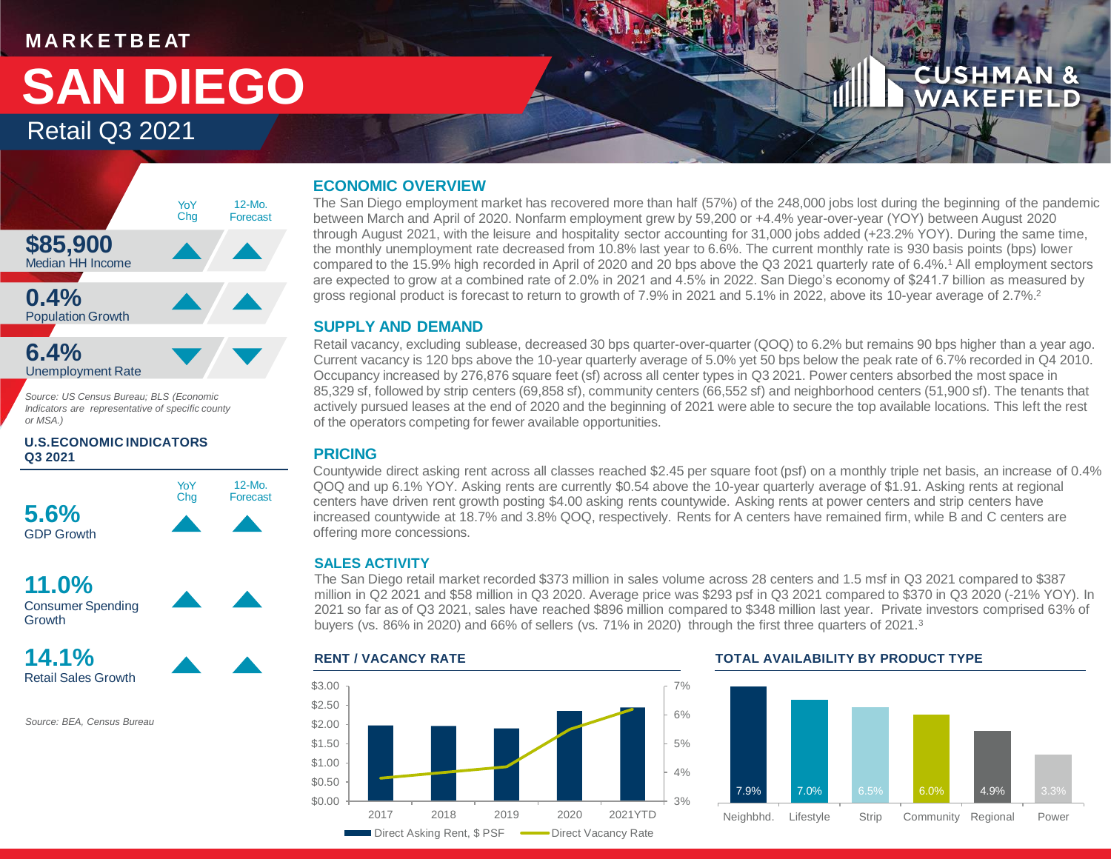#### **M A R K E T B E AT**

## Retail Q3 2021 **SAN DIEGO**

### **CUSHMAN &** WAKEFIELD



*Source: US Census Bureau; BLS (Economic Indicators are representative of specific county or MSA.)*

#### **U.S.ECONOMIC INDICATORS Q3 2021**





**14.1%** Retail Sales Growth

*Source: BEA, Census Bureau*

#### **ECONOMIC OVERVIEW**

The San Diego employment market has recovered more than half (57%) of the 248,000 jobs lost during the beginning of the pandemic between March and April of 2020. Nonfarm employment grew by 59,200 or +4.4% year-over-year (YOY) between August 2020 through August 2021, with the leisure and hospitality sector accounting for 31,000 jobs added (+23.2% YOY). During the same time, the monthly unemployment rate decreased from 10.8% last year to 6.6%. The current monthly rate is 930 basis points (bps) lower compared to the 15.9% high recorded in April of 2020 and 20 bps above the Q3 2021 quarterly rate of 6.4%.<sup>1</sup> All employment sectors are expected to grow at a combined rate of 2.0% in 2021 and 4.5% in 2022. San Diego's economy of \$241.7 billion as measured by gross regional product is forecast to return to growth of 7.9% in 2021 and 5.1% in 2022, above its 10-year average of 2.7%.<sup>2</sup>

#### **SUPPLY AND DEMAND**

Retail vacancy, excluding sublease, decreased 30 bps quarter-over-quarter (QOQ) to 6.2% but remains 90 bps higher than a year ago. Current vacancy is 120 bps above the 10-year quarterly average of 5.0% yet 50 bps below the peak rate of 6.7% recorded in Q4 2010. Occupancy increased by 276,876 square feet (sf) across all center types in Q3 2021. Power centers absorbed the most space in 85,329 sf, followed by strip centers (69,858 sf), community centers (66,552 sf) and neighborhood centers (51,900 sf). The tenants that actively pursued leases at the end of 2020 and the beginning of 2021 were able to secure the top available locations. This left the rest of the operators competing for fewer available opportunities.

#### **PRICING**

Countywide direct asking rent across all classes reached \$2.45 per square foot (psf) on a monthly triple net basis, an increase of 0.4% QOQ and up 6.1% YOY. Asking rents are currently \$0.54 above the 10-year quarterly average of \$1.91. Asking rents at regional centers have driven rent growth posting \$4.00 asking rents countywide. Asking rents at power centers and strip centers have increased countywide at 18.7% and 3.8% QOQ, respectively. Rents for A centers have remained firm, while B and C centers are offering more concessions.

#### **SALES ACTIVITY**

The San Diego retail market recorded \$373 million in sales volume across 28 centers and 1.5 msf in Q3 2021 compared to \$387 million in Q2 2021 and \$58 million in Q3 2020. Average price was \$293 psf in Q3 2021 compared to \$370 in Q3 2020 (-21% YOY). In 2021 so far as of Q3 2021, sales have reached \$896 million compared to \$348 million last year. Private investors comprised 63% of buyers (vs. 86% in 2020) and 66% of sellers (vs. 71% in 2020) through the first three quarters of 2021.<sup>3</sup>



#### **RENT / VACANCY RATE TOTAL AVAILABILITY BY PRODUCT TYPE**